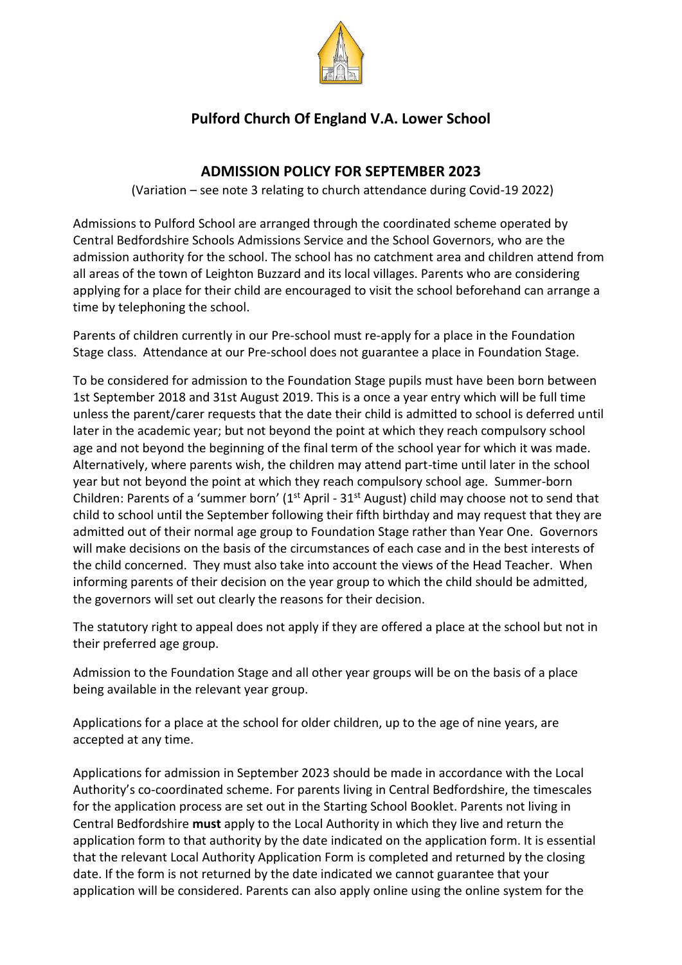

# **Pulford Church Of England V.A. Lower School**

# **ADMISSION POLICY FOR SEPTEMBER 2023**

(Variation – see note 3 relating to church attendance during Covid-19 2022)

Admissions to Pulford School are arranged through the coordinated scheme operated by Central Bedfordshire Schools Admissions Service and the School Governors, who are the admission authority for the school. The school has no catchment area and children attend from all areas of the town of Leighton Buzzard and its local villages. Parents who are considering applying for a place for their child are encouraged to visit the school beforehand can arrange a time by telephoning the school.

Parents of children currently in our Pre-school must re-apply for a place in the Foundation Stage class. Attendance at our Pre-school does not guarantee a place in Foundation Stage.

To be considered for admission to the Foundation Stage pupils must have been born between 1st September 2018 and 31st August 2019. This is a once a year entry which will be full time unless the parent/carer requests that the date their child is admitted to school is deferred until later in the academic year; but not beyond the point at which they reach compulsory school age and not beyond the beginning of the final term of the school year for which it was made. Alternatively, where parents wish, the children may attend part-time until later in the school year but not beyond the point at which they reach compulsory school age. Summer-born Children: Parents of a 'summer born'  $(1<sup>st</sup>$  April - 31<sup>st</sup> August) child may choose not to send that child to school until the September following their fifth birthday and may request that they are admitted out of their normal age group to Foundation Stage rather than Year One. Governors will make decisions on the basis of the circumstances of each case and in the best interests of the child concerned. They must also take into account the views of the Head Teacher. When informing parents of their decision on the year group to which the child should be admitted, the governors will set out clearly the reasons for their decision.

The statutory right to appeal does not apply if they are offered a place at the school but not in their preferred age group.

Admission to the Foundation Stage and all other year groups will be on the basis of a place being available in the relevant year group.

Applications for a place at the school for older children, up to the age of nine years, are accepted at any time.

Applications for admission in September 2023 should be made in accordance with the Local Authority's co-coordinated scheme. For parents living in Central Bedfordshire, the timescales for the application process are set out in the Starting School Booklet. Parents not living in Central Bedfordshire **must** apply to the Local Authority in which they live and return the application form to that authority by the date indicated on the application form. It is essential that the relevant Local Authority Application Form is completed and returned by the closing date. If the form is not returned by the date indicated we cannot guarantee that your application will be considered. Parents can also apply online using the online system for the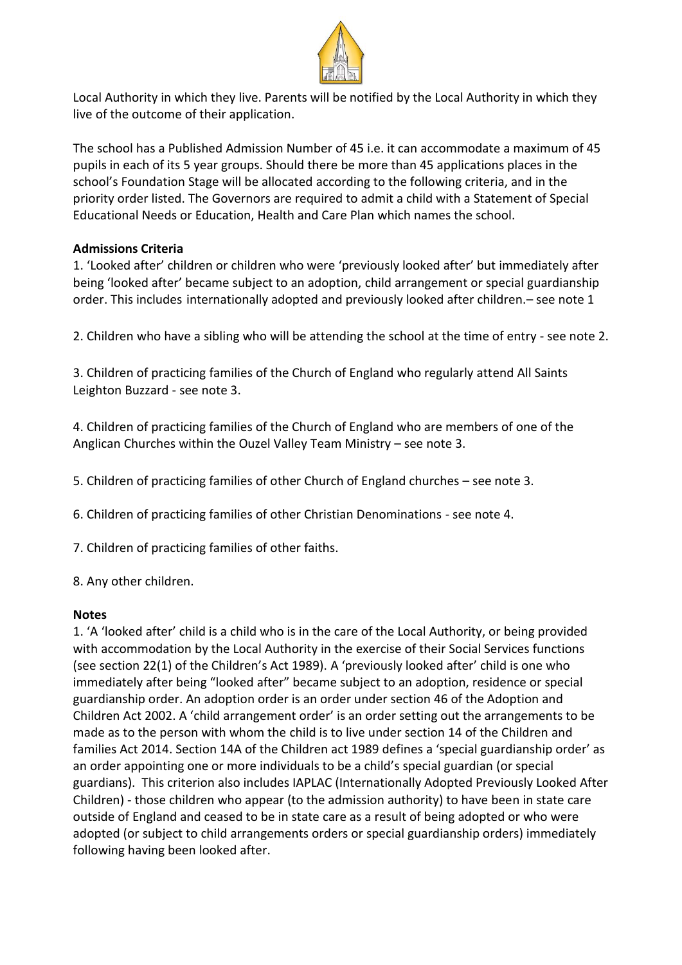

Local Authority in which they live. Parents will be notified by the Local Authority in which they live of the outcome of their application.

The school has a Published Admission Number of 45 i.e. it can accommodate a maximum of 45 pupils in each of its 5 year groups. Should there be more than 45 applications places in the school's Foundation Stage will be allocated according to the following criteria, and in the priority order listed. The Governors are required to admit a child with a Statement of Special Educational Needs or Education, Health and Care Plan which names the school.

#### **Admissions Criteria**

1. 'Looked after' children or children who were 'previously looked after' but immediately after being 'looked after' became subject to an adoption, child arrangement or special guardianship order. This includes internationally adopted and previously looked after children.– see note 1

2. Children who have a sibling who will be attending the school at the time of entry - see note 2.

3. Children of practicing families of the Church of England who regularly attend All Saints Leighton Buzzard - see note 3.

4. Children of practicing families of the Church of England who are members of one of the Anglican Churches within the Ouzel Valley Team Ministry – see note 3.

5. Children of practicing families of other Church of England churches – see note 3.

6. Children of practicing families of other Christian Denominations - see note 4.

7. Children of practicing families of other faiths.

8. Any other children.

#### **Notes**

1. 'A 'looked after' child is a child who is in the care of the Local Authority, or being provided with accommodation by the Local Authority in the exercise of their Social Services functions (see section 22(1) of the Children's Act 1989). A 'previously looked after' child is one who immediately after being "looked after" became subject to an adoption, residence or special guardianship order. An adoption order is an order under section 46 of the Adoption and Children Act 2002. A 'child arrangement order' is an order setting out the arrangements to be made as to the person with whom the child is to live under section 14 of the Children and families Act 2014. Section 14A of the Children act 1989 defines a 'special guardianship order' as an order appointing one or more individuals to be a child's special guardian (or special guardians). This criterion also includes IAPLAC (Internationally Adopted Previously Looked After Children) - those children who appear (to the admission authority) to have been in state care outside of England and ceased to be in state care as a result of being adopted or who were adopted (or subject to child arrangements orders or special guardianship orders) immediately following having been looked after.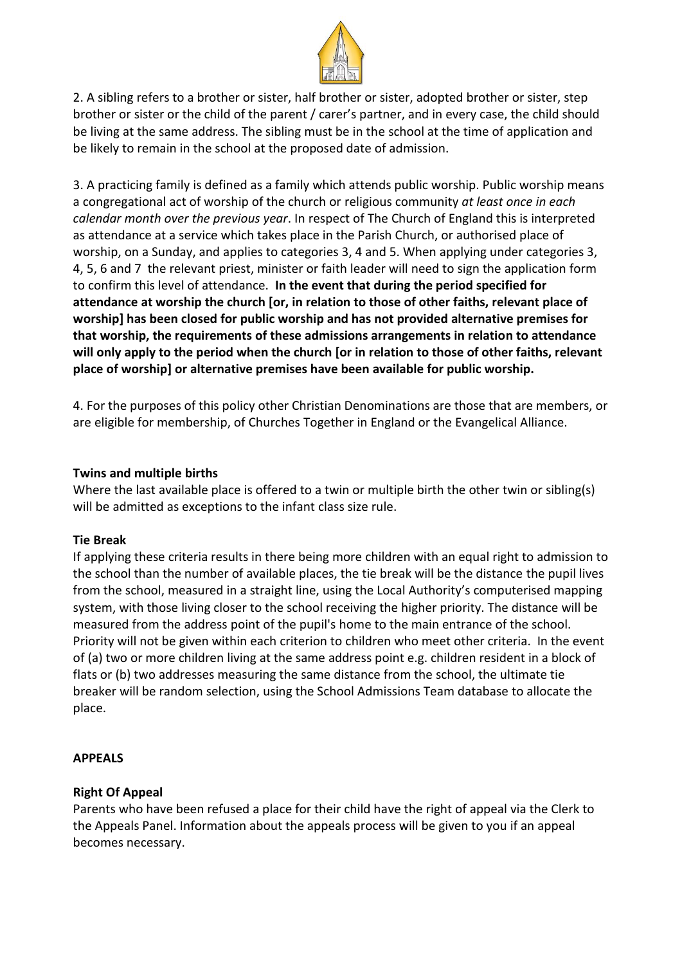

2. A sibling refers to a brother or sister, half brother or sister, adopted brother or sister, step brother or sister or the child of the parent / carer's partner, and in every case, the child should be living at the same address. The sibling must be in the school at the time of application and be likely to remain in the school at the proposed date of admission.

3. A practicing family is defined as a family which attends public worship. Public worship means a congregational act of worship of the church or religious community *at least once in each calendar month over the previous year*. In respect of The Church of England this is interpreted as attendance at a service which takes place in the Parish Church, or authorised place of worship, on a Sunday, and applies to categories 3, 4 and 5. When applying under categories 3, 4, 5, 6 and 7 the relevant priest, minister or faith leader will need to sign the application form to confirm this level of attendance. **In the event that during the period specified for attendance at worship the church [or, in relation to those of other faiths, relevant place of worship] has been closed for public worship and has not provided alternative premises for that worship, the requirements of these admissions arrangements in relation to attendance will only apply to the period when the church [or in relation to those of other faiths, relevant place of worship] or alternative premises have been available for public worship.**

4. For the purposes of this policy other Christian Denominations are those that are members, or are eligible for membership, of Churches Together in England or the Evangelical Alliance.

#### **Twins and multiple births**

Where the last available place is offered to a twin or multiple birth the other twin or sibling(s) will be admitted as exceptions to the infant class size rule.

## **Tie Break**

If applying these criteria results in there being more children with an equal right to admission to the school than the number of available places, the tie break will be the distance the pupil lives from the school, measured in a straight line, using the Local Authority's computerised mapping system, with those living closer to the school receiving the higher priority. The distance will be measured from the address point of the pupil's home to the main entrance of the school. Priority will not be given within each criterion to children who meet other criteria. In the event of (a) two or more children living at the same address point e.g. children resident in a block of flats or (b) two addresses measuring the same distance from the school, the ultimate tie breaker will be random selection, using the School Admissions Team database to allocate the place.

## **APPEALS**

## **Right Of Appeal**

Parents who have been refused a place for their child have the right of appeal via the Clerk to the Appeals Panel. Information about the appeals process will be given to you if an appeal becomes necessary.